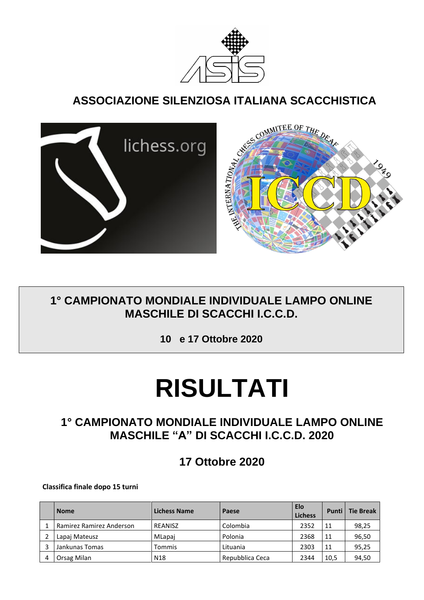

## **ASSOCIAZIONE SILENZIOSA ITALIANA SCACCHISTICA**



## **1° CAMPIONATO MONDIALE INDIVIDUALE LAMPO ONLINE MASCHILE DI SCACCHI I.C.C.D.**

**10 e 17 Ottobre 2020**

# **RISULTATI**

## **1° CAMPIONATO MONDIALE INDIVIDUALE LAMPO ONLINE MASCHILE "A" DI SCACCHI I.C.C.D. 2020**

**17 Ottobre 2020**

**Classifica finale dopo 15 turni**

|   | <b>Nome</b>              | <b>Lichess Name</b> | Paese           | <b>Elo</b><br><b>Lichess</b> | Punti l | <b>Tie Break</b> |
|---|--------------------------|---------------------|-----------------|------------------------------|---------|------------------|
|   | Ramirez Ramirez Anderson | REANISZ             | Colombia        | 2352                         | 11      | 98,25            |
|   | Lapaj Mateusz            | MLapai              | Polonia         | 2368                         | 11      | 96,50            |
|   | Jankunas Tomas           | Tommis              | Lituania        | 2303                         | 11      | 95,25            |
| 4 | Orsag Milan              | N <sub>18</sub>     | Repubblica Ceca | 2344                         | 10,5    | 94,50            |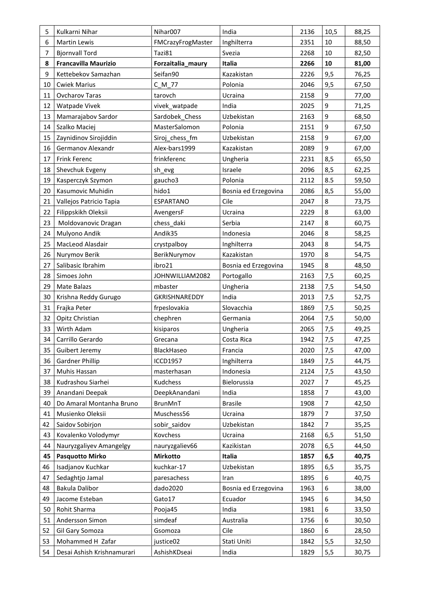| 5              | Kulkarni Nihar              | Nihar007          | India                | 2136 | 10,5           | 88,25 |
|----------------|-----------------------------|-------------------|----------------------|------|----------------|-------|
| 6              | <b>Martin Lewis</b>         | FMCrazyFrogMaster | Inghilterra          | 2351 | 10             | 88,50 |
| $\overline{7}$ | <b>Bjornvall Tord</b>       | Tazi81            | Svezia               | 2268 | 10             | 82,50 |
| 8              | <b>Francavilla Maurizio</b> | Forzaitalia_maury | Italia               | 2266 | 10             | 81,00 |
| 9              | Kettebekov Samazhan         | Seifan90          | Kazakistan           | 2226 | 9,5            | 76,25 |
| 10             | <b>Cwiek Marius</b>         | $C_M_7$           | Polonia              | 2046 | 9,5            | 67,50 |
| 11             | <b>Ovcharov Taras</b>       | tarovch           | Ucraina              | 2158 | 9              | 77,00 |
| 12             | Watpade Vivek               | vivek_watpade     | India                | 2025 | 9              | 71,25 |
| 13             | Mamarajabov Sardor          | Sardobek Chess    | Uzbekistan           | 2163 | 9              | 68,50 |
| 14             | Szalko Maciej               | MasterSalomon     | Polonia              | 2151 | 9              | 67,50 |
| 15             | Zaynidinov Sirojiddin       | Siroj chess fm    | Uzbekistan           | 2158 | 9              | 67,00 |
| 16             | Germanov Alexandr           | Alex-bars1999     | Kazakistan           | 2089 | 9              | 67,00 |
| 17             | Frink Ferenc                | frinkferenc       | Ungheria             | 2231 | 8,5            | 65,50 |
| 18             | Shevchuk Evgeny             | sh_evg            | Israele              | 2096 | 8,5            | 62,25 |
| 19             | Kasperczyk Szymon           | gaucho3           | Polonia              | 2112 | 8.5            | 59,50 |
| 20             | Kasumovic Muhidin           | hido1             | Bosnia ed Erzegovina | 2086 | 8,5            | 55,00 |
| 21             | Vallejos Patricio Tapia     | ESPARTANO         | Cile                 | 2047 | 8              | 73,75 |
| 22             | Filippskikh Oleksii         | AvengersF         | Ucraina              | 2229 | 8              | 63,00 |
| 23             | Moldovanovic Dragan         | chess_daki        | Serbia               | 2147 | 8              | 60,75 |
| 24             | Mulyono Andik               | Andik35           | Indonesia            | 2046 | 8              | 58,25 |
| 25             | MacLeod Alasdair            | crystpalboy       | Inghilterra          | 2043 | 8              | 54,75 |
| 26             | Nurymov Berik               | BerikNurymov      | Kazakistan           | 1970 | 8              | 54,75 |
| 27             | Salibasic Ibrahim           | ibro21            | Bosnia ed Erzegovina | 1945 | 8              | 48,50 |
| 28             | Simoes John                 | JOHNWILLIAM2082   | Portogallo           | 2163 | 7,5            | 60,25 |
| 29             | Mate Balazs                 | mbaster           | Ungheria             | 2138 | 7,5            | 54,50 |
| 30             | Krishna Reddy Gurugo        | GKRISHNAREDDY     | India                | 2013 | 7,5            | 52,75 |
| 31             | Frajka Peter                | frpeslovakia      | Slovacchia           | 1869 | 7,5            | 50,25 |
| 32             | Opitz Christian             | chephren          | Germania             | 2064 | 7,5            | 50,00 |
| 33             | Wirth Adam                  | kisiparos         | Ungheria             | 2065 | 7,5            | 49,25 |
| 34             | Carrillo Gerardo            | Grecana           | Costa Rica           | 1942 | 7,5            | 47,25 |
| 35             | Guibert Jeremy              | BlackHaseo        | Francia              | 2020 | 7,5            | 47,00 |
| 36             | <b>Gardner Phillip</b>      | <b>ICCD1957</b>   | Inghilterra          | 1849 | 7,5            | 44,75 |
| 37             | Muhis Hassan                | masterhasan       | Indonesia            | 2124 | 7,5            | 43,50 |
| 38             | Kudrashou Siarhei           | Kudchess          | Bielorussia          | 2027 | 7              | 45,25 |
| 39             | Anandani Deepak             | DeepkAnandani     | India                | 1858 | 7              | 43,00 |
| 40             | Do Amaral Montanha Bruno    | BrunMnT           | <b>Brasile</b>       | 1908 | 7              | 42,50 |
| 41             | Musienko Oleksii            | Muschess56        | Ucraina              | 1879 | $\overline{7}$ | 37,50 |
| 42             | Saidov Sobirjon             | sobir_saidov      | Uzbekistan           | 1842 | 7              | 35,25 |
| 43             | Kovalenko Volodymyr         | Kovchess          | Ucraina              | 2168 | 6,5            | 51,50 |
| 44             | Nauryzgaliyev Amangelgy     | nauryzgaliev66    | Kazikistan           | 2078 | 6,5            | 44,50 |
| 45             | <b>Pasquotto Mirko</b>      | Mirkotto          | Italia               | 1857 | 6, 5           | 40,75 |
| 46             | Isadjanov Kuchkar           | kuchkar-17        | Uzbekistan           | 1895 | 6,5            | 35,75 |
| 47             | Sedaghtjo Jamal             | paresachess       | Iran                 | 1895 | 6              | 40,75 |
| 48             | Bakula Dalibor              | dado2020          | Bosnia ed Erzegovina | 1963 | 6              | 38,00 |
| 49             | Jacome Esteban              | Gato17            | Ecuador              | 1945 | 6              | 34,50 |
| 50             | Rohit Sharma                | Pooja45           | India                | 1981 | 6              | 33,50 |
| 51             | Andersson Simon             | simdeaf           | Australia            | 1756 | 6              | 30,50 |
| 52             | Gil Gary Somoza             | Gsomoza           | Cile                 | 1860 | 6              | 28,50 |
| 53             | Mohammed H Zafar            | justice02         | Stati Uniti          | 1842 | 5,5            | 32,50 |
| 54             | Desai Ashish Krishnamurari  | AshishKDseai      | India                | 1829 | 5,5            | 30,75 |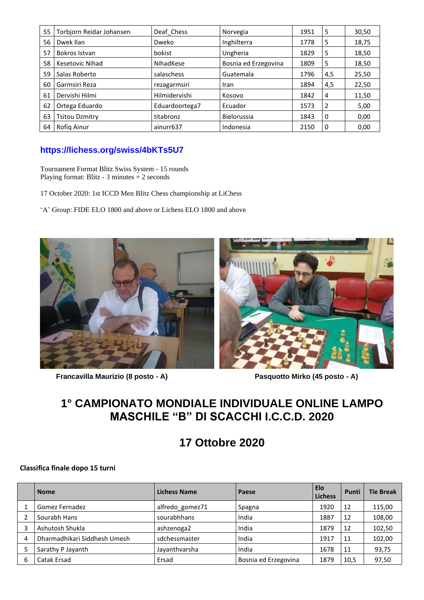| 55 | Torbjorn Reidar Johansen | Deaf Chess     | Norvegia             | 1951 | 5              | 30,50 |
|----|--------------------------|----------------|----------------------|------|----------------|-------|
| 56 | Dwek Ilan                | Dweko          | Inghilterra          | 1778 | -5             | 18,75 |
| 57 | Bokros Istvan            | bokist         | Ungheria             | 1829 | -5             | 18,50 |
| 58 | Kesetovic Nihad          | NihadKese      | Bosnia ed Erzegovina | 1809 | 5              | 18,50 |
| 59 | Salas Roberto            | salaschess     | Guatemala            | 1796 | 4,5            | 25,50 |
| 60 | Garmsiri Reza            | rezagarmsiri   | Iran                 | 1894 | 4,5            | 22,50 |
| 61 | Dervishi Hilmi           | Hilmidervishi  | Kosovo               | 1842 | $\overline{4}$ | 11,50 |
| 62 | Ortega Eduardo           | Eduardoortega7 | Ecuador              | 1573 | 2              | 5,00  |
| 63 | <b>Tsitou Dzmitry</b>    | titabronz      | Bielorussia          | 1843 | l 0            | 0,00  |
| 64 | Rofig Ainur              | ainurr637      | Indonesia            | 2150 | l 0            | 0,00  |

#### **<https://lichess.org/swiss/4bKTs5U7>**

Tournament Format Blitz Swiss System - 15 rounds Playing format: Blitz - 3 minutes + 2 seconds

- 17 October 2020: 1st ICCD Men Blitz Chess championship at LiChess
- 'A' Group: FIDE ELO 1800 and above or Lichess ELO 1800 and above



 **Francavilla Maurizio (8 posto - A) Pasquotto Mirko (45 posto - A)**

### **1° CAMPIONATO MONDIALE INDIVIDUALE ONLINE LAMPO MASCHILE "B" DI SCACCHI I.C.C.D. 2020**

## **17 Ottobre 2020**

#### **Classifica finale dopo 15 turni**

|   | <b>Nome</b>                  | <b>Lichess Name</b> | Paese                | <b>Elo</b><br><b>Lichess</b> | Punti | <b>Tie Break</b> |
|---|------------------------------|---------------------|----------------------|------------------------------|-------|------------------|
|   | Gomez Fernadez               | alfredo gomez71     | Spagna               | 1920                         | 12    | 115,00           |
|   | Sourabh Hans                 | sourabhhans         | India                | 1887                         | 12    | 108,00           |
|   | Ashutosh Shukla              | ashzenoga2          | India                | 1879                         | 12    | 102,50           |
| 4 | Dharmadhikari Siddhesh Umesh | sdchessmaster       | India                | 1917                         | 11    | 102,00           |
|   | Sarathy P Jayanth            | Jayanthvarsha       | India                | 1678                         | 11    | 93,75            |
| 6 | Catak Ersad                  | Ersad               | Bosnia ed Erzegovina | 1879                         | 10,5  | 97,50            |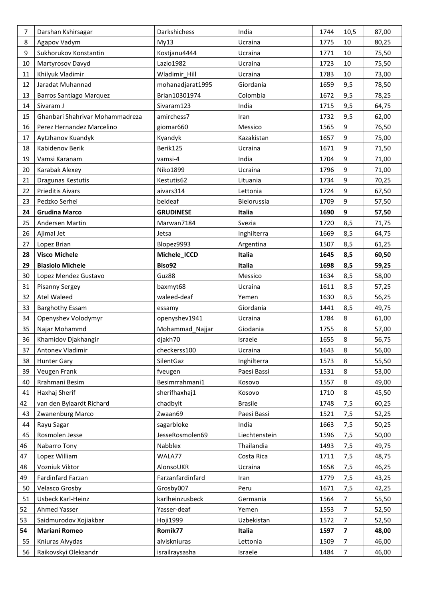| 7  | Darshan Kshirsagar              | Darkshichess     | India          | 1744 | 10,5 | 87,00 |
|----|---------------------------------|------------------|----------------|------|------|-------|
| 8  | Agapov Vadym                    | My13             | Ucraina        | 1775 | 10   | 80,25 |
| 9  | Sukhorukov Konstantin           | Kostjanu4444     | Ucraina        | 1771 | 10   | 75,50 |
| 10 | Martyrosov Davyd                | Lazio1982        | Ucraina        | 1723 | 10   | 75,50 |
| 11 | Khilyuk Vladimir                | Wladimir_Hill    | Ucraina        | 1783 | 10   | 73,00 |
| 12 | Jaradat Muhannad                | mohanadjarat1995 | Giordania      | 1659 | 9,5  | 78,50 |
| 13 | <b>Barros Santiago Marquez</b>  | Brian10301974    | Colombia       | 1672 | 9,5  | 78,25 |
| 14 | Sivaram J                       | Sivaram123       | India          | 1715 | 9,5  | 64,75 |
| 15 | Ghanbari Shahrivar Mohammadreza | amirchess7       | Iran           | 1732 | 9,5  | 62,00 |
| 16 | Perez Hernandez Marcelino       | giomar660        | Messico        | 1565 | 9    | 76,50 |
| 17 | Aytzhanov Kuandyk               | Kyandyk          | Kazakistan     | 1657 | 9    | 75,00 |
| 18 | Kabidenov Berik                 | Berik125         | Ucraina        | 1671 | 9    | 71,50 |
| 19 | Vamsi Karanam                   | vamsi-4          | India          | 1704 | 9    | 71,00 |
| 20 | Karabak Alexey                  | Niko1899         | Ucraina        | 1796 | 9    | 71,00 |
| 21 | Dragunas Kestutis               | Kestutis62       | Lituania       | 1734 | 9    | 70,25 |
| 22 | <b>Prieditis Aivars</b>         | aivars314        | Lettonia       | 1724 | 9    | 67,50 |
| 23 | Pedzko Serhei                   | beldeaf          | Bielorussia    | 1709 | 9    | 57,50 |
| 24 | <b>Grudina Marco</b>            | <b>GRUDINESE</b> | Italia         | 1690 | 9    | 57,50 |
| 25 | Andersen Martin                 | Marwan7184       | Svezia         | 1720 | 8,5  | 71,75 |
| 26 | Ajimal Jet                      | Jetsa            | Inghilterra    | 1669 | 8,5  | 64,75 |
| 27 | Lopez Brian                     | Blopez9993       | Argentina      | 1507 | 8,5  | 61,25 |
| 28 | <b>Visco Michele</b>            | Michele_ICCD     | Italia         | 1645 | 8,5  | 60,50 |
| 29 | <b>Biasiolo Michele</b>         | Biso92           | Italia         | 1698 | 8,5  | 59,25 |
| 30 | Lopez Mendez Gustavo            | Guz88            | Messico        | 1634 | 8,5  | 58,00 |
| 31 | Pisanny Sergey                  | baxmyt68         | Ucraina        | 1611 | 8,5  | 57,25 |
| 32 | <b>Atel Waleed</b>              | waleed-deaf      | Yemen          | 1630 | 8,5  | 56,25 |
| 33 | <b>Barghothy Essam</b>          | essamy           | Giordania      | 1441 | 8,5  | 49,75 |
| 34 | Openyshev Volodymyr             | openyshev1941    | Ucraina        | 1784 | 8    | 61,00 |
| 35 | Najar Mohammd                   | Mohammad_Najjar  | Giodania       | 1755 | 8    | 57,00 |
| 36 | Khamidov Djakhangir             | djakh70          | Israele        | 1655 | 8    | 56,75 |
| 37 | Antonev Vladimir                | checkerss100     | Ucraina        | 1643 | 8    | 56,00 |
| 38 | <b>Hunter Gary</b>              | SilentGaz        | Inghilterra    | 1573 | 8    | 55,50 |
| 39 | Veugen Frank                    | fveugen          | Paesi Bassi    | 1531 | 8    | 53,00 |
| 40 | Rrahmani Besim                  | Besimrrahmani1   | Kosovo         | 1557 | 8    | 49,00 |
| 41 | Haxhaj Sherif                   | sherifhaxhaj1    | Kosovo         | 1710 | 8    | 45,50 |
| 42 | van den Bylaardt Richard        | chadbylt         | <b>Brasile</b> | 1748 | 7,5  | 60,25 |
| 43 | Zwanenburg Marco                | Zwaan69          | Paesi Bassi    | 1521 | 7,5  | 52,25 |
| 44 | Rayu Sagar                      | sagarbloke       | India          | 1663 | 7,5  | 50,25 |
| 45 | Rosmolen Jesse                  | JesseRosmolen69  | Liechtenstein  | 1596 | 7,5  | 50,00 |
| 46 | Nabarro Tony                    | Nabblex          | Thailandia     | 1493 | 7,5  | 49,75 |
| 47 | Lopez William                   | WALA77           | Costa Rica     | 1711 | 7,5  | 48,75 |
| 48 | Vozniuk Viktor                  | AlonsoUKR        | Ucraina        | 1658 | 7,5  | 46,25 |
| 49 | Fardinfard Farzan               | Farzanfardinfard | Iran           | 1779 | 7,5  | 43,25 |
| 50 | Velasco Grosby                  | Grosby007        | Peru           | 1671 | 7,5  | 42,25 |
| 51 | Usbeck Karl-Heinz               | karlheinzusbeck  | Germania       | 1564 | 7    | 55,50 |
| 52 | <b>Ahmed Yasser</b>             | Yasser-deaf      | Yemen          | 1553 | 7    | 52,50 |
| 53 | Saidmurodov Xojiakbar           | <b>Hoji1999</b>  | Uzbekistan     | 1572 | 7    | 52,50 |
| 54 | <b>Mariani Romeo</b>            | Romik77          | Italia         | 1597 | 7    | 48,00 |
|    |                                 |                  |                |      |      |       |
| 55 | Kniuras Alvydas                 | alviskniuras     | Lettonia       | 1509 | 7    | 46,00 |
| 56 | Raikovskyi Oleksandr            | israilraysasha   | Israele        | 1484 | 7    | 46,00 |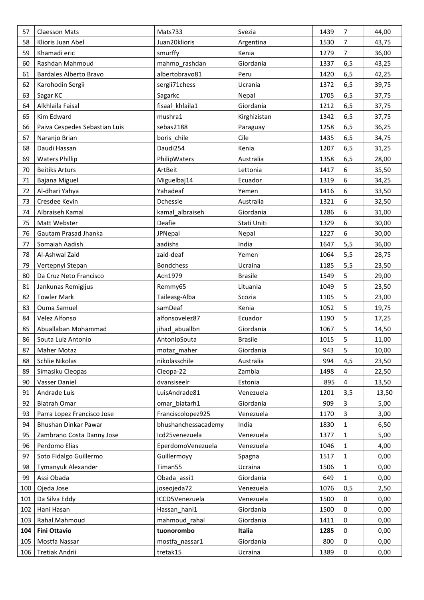| 57  | Claesson Mats                 | Mats733             | Svezia         | 1439 | $\overline{7}$ | 44,00 |
|-----|-------------------------------|---------------------|----------------|------|----------------|-------|
| 58  | Klioris Juan Abel             | Juan20klioris       | Argentina      | 1530 | $\overline{7}$ | 43,75 |
| 59  | Khamadi eric                  | smurffy             | Kenia          | 1279 | $\overline{7}$ | 36,00 |
| 60  | Rashdan Mahmoud               | mahmo rashdan       | Giordania      | 1337 | 6,5            | 43,25 |
| 61  | Bardales Alberto Bravo        | albertobravo81      | Peru           | 1420 | 6,5            | 42,25 |
| 62  | Karohodin Sergii              | sergii71chess       | Ucrania        | 1372 | 6,5            | 39,75 |
| 63  | Sagar KC                      | Sagarkc             | Nepal          | 1705 | 6,5            | 37,75 |
| 64  | Alkhlaila Faisal              | fisaal khlaila1     | Giordania      | 1212 | 6,5            | 37,75 |
| 65  | Kim Edward                    | mushra1             | Kirghizistan   | 1342 | 6,5            | 37,75 |
| 66  | Paiva Cespedes Sebastian Luis | sebas2188           | Paraguay       | 1258 | 6,5            | 36,25 |
| 67  | Naranjo Brian                 | boris_chile         | Cile           | 1435 | 6,5            | 34,75 |
| 68  | Daudi Hassan                  | Daudi254            | Kenia          | 1207 | 6, 5           | 31,25 |
| 69  | <b>Waters Phillip</b>         | PhilipWaters        | Australia      | 1358 | 6, 5           | 28,00 |
| 70  | <b>Beitiks Arturs</b>         | ArtBeit             | Lettonia       | 1417 | 6              | 35,50 |
| 71  | <b>Bajana Miguel</b>          | Miguelbaj14         | Ecuador        | 1319 | 6              | 34,25 |
| 72  | Al-dhari Yahya                | Yahadeaf            | Yemen          | 1416 | 6              | 33,50 |
| 73  | Cresdee Kevin                 | Dchessie            | Australia      | 1321 | 6              | 32,50 |
| 74  | Albraiseh Kamal               | kamal albraiseh     | Giordania      | 1286 | 6              | 31,00 |
| 75  | Matt Webster                  | Deafie              | Stati Uniti    | 1329 | 6              | 30,00 |
| 76  | Gautam Prasad Jhanka          | JPNepal             | Nepal          | 1227 | 6              | 30,00 |
| 77  | Somaiah Aadish                | aadishs             | India          | 1647 | 5,5            | 36,00 |
| 78  | Al-Ashwal Zaid                | zaid-deaf           | Yemen          | 1064 | 5,5            | 28,75 |
| 79  | Vertepnyi Stepan              | <b>Bondchess</b>    | Ucraina        | 1185 | 5,5            | 23,50 |
| 80  | Da Cruz Neto Francisco        | Acn1979             | <b>Brasile</b> | 1549 | 5              | 29,00 |
| 81  | Jankunas Remigijus            | Remmy65             | Lituania       | 1049 | 5              | 23,50 |
| 82  | <b>Towler Mark</b>            | Taileasg-Alba       | Scozia         | 1105 | 5              | 23,00 |
| 83  | Ouma Samuel                   | samDeaf             | Kenia          | 1052 | 5              | 19,75 |
| 84  | Velez Alfonso                 | alfonsovelez87      | Ecuador        | 1190 | 5              | 17,25 |
| 85  | Abuallaban Mohammad           | jihad_abuallbn      | Giordania      | 1067 | 5              | 14,50 |
| 86  | Souta Luiz Antonio            | AntonioSouta        | <b>Brasile</b> | 1015 | 5              | 11,00 |
| 87  | <b>Maher Motaz</b>            | motaz_maher         | Giordania      | 943  | 5              | 10,00 |
| 88  | Schlie Nikolas                | nikolasschile       | Australia      | 994  | 4,5            | 23,50 |
| 89  | Simasiku Cleopas              | Cleopa-22           | Zambia         | 1498 | 4              | 22,50 |
| 90  | Vasser Daniel                 | dvansiseelr         | Estonia        | 895  | 4              | 13,50 |
| 91  | Andrade Luis                  | LuisAndrade81       | Venezuela      | 1201 | 3,5            | 13,50 |
| 92  | <b>Biatrah Omar</b>           | omar_biatarh1       | Giordania      | 909  | 3              | 5,00  |
| 93  | Parra Lopez Francisco Jose    | Franciscolopez925   | Venezuela      | 1170 | 3              | 3,00  |
| 94  | Bhushan Dinkar Pawar          | bhushanchessacademy | India          | 1830 | 1              | 6,50  |
| 95  | Zambrano Costa Danny Jose     | Icd25venezuela      | Venezuela      | 1377 | 1              | 5,00  |
| 96  | Perdomo Elias                 | EperdomoVenezuela   | Venezuela      | 1046 | 1              | 4,00  |
| 97  | Soto Fidalgo Guillermo        | Guillermoyy         | Spagna         | 1517 | 1              | 0,00  |
| 98  | Tymanyuk Alexander            | Timan55             | Ucraina        | 1506 | 1              | 0,00  |
| 99  | Assi Obada                    | Obada assi1         | Giordania      | 649  | $\mathbf{1}$   | 0,00  |
| 100 | Ojeda Jose                    | joseojeda72         | Venezuela      | 1076 | 0,5            | 2,50  |
| 101 | Da Silva Eddy                 | ICCD5Venezuela      | Venezuela      | 1500 | 0              | 0,00  |
| 102 | Hani Hasan                    | Hassan hani1        | Giordania      | 1500 | 0              | 0,00  |
| 103 | Rahal Mahmoud                 | mahmoud rahal       | Giordania      | 1411 | 0              | 0,00  |
| 104 | <b>Fini Ottavio</b>           | tuonorombo          | Italia         | 1285 | 0              | 0,00  |
| 105 | Mostfa Nassar                 | mostfa nassar1      | Giordania      | 800  | 0              | 0,00  |
| 106 | Tretiak Andrii                | tretak15            | Ucraina        | 1389 | 0              | 0,00  |
|     |                               |                     |                |      |                |       |